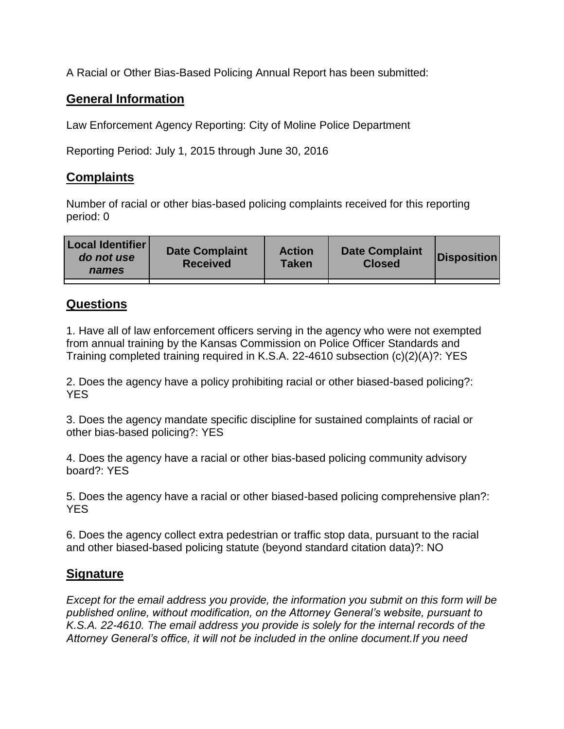A Racial or Other Bias-Based Policing Annual Report has been submitted:

## **General Information**

Law Enforcement Agency Reporting: City of Moline Police Department

Reporting Period: July 1, 2015 through June 30, 2016

## **Complaints**

Number of racial or other bias-based policing complaints received for this reporting period: 0

| <b>Local Identifier</b><br>do not use<br>names | <b>Date Complaint</b><br><b>Received</b> | <b>Action</b><br><b>Taken</b> | <b>Date Complaint</b><br><b>Closed</b> | Disposition |
|------------------------------------------------|------------------------------------------|-------------------------------|----------------------------------------|-------------|
|                                                |                                          |                               |                                        |             |

## **Questions**

1. Have all of law enforcement officers serving in the agency who were not exempted from annual training by the Kansas Commission on Police Officer Standards and Training completed training required in K.S.A. 22-4610 subsection (c)(2)(A)?: YES

2. Does the agency have a policy prohibiting racial or other biased-based policing?: YES

3. Does the agency mandate specific discipline for sustained complaints of racial or other bias-based policing?: YES

4. Does the agency have a racial or other bias-based policing community advisory board?: YES

5. Does the agency have a racial or other biased-based policing comprehensive plan?: YES

6. Does the agency collect extra pedestrian or traffic stop data, pursuant to the racial and other biased-based policing statute (beyond standard citation data)?: NO

## **Signature**

*Except for the email address you provide, the information you submit on this form will be published online, without modification, on the Attorney General's website, pursuant to K.S.A. 22-4610. The email address you provide is solely for the internal records of the Attorney General's office, it will not be included in the online document.If you need*